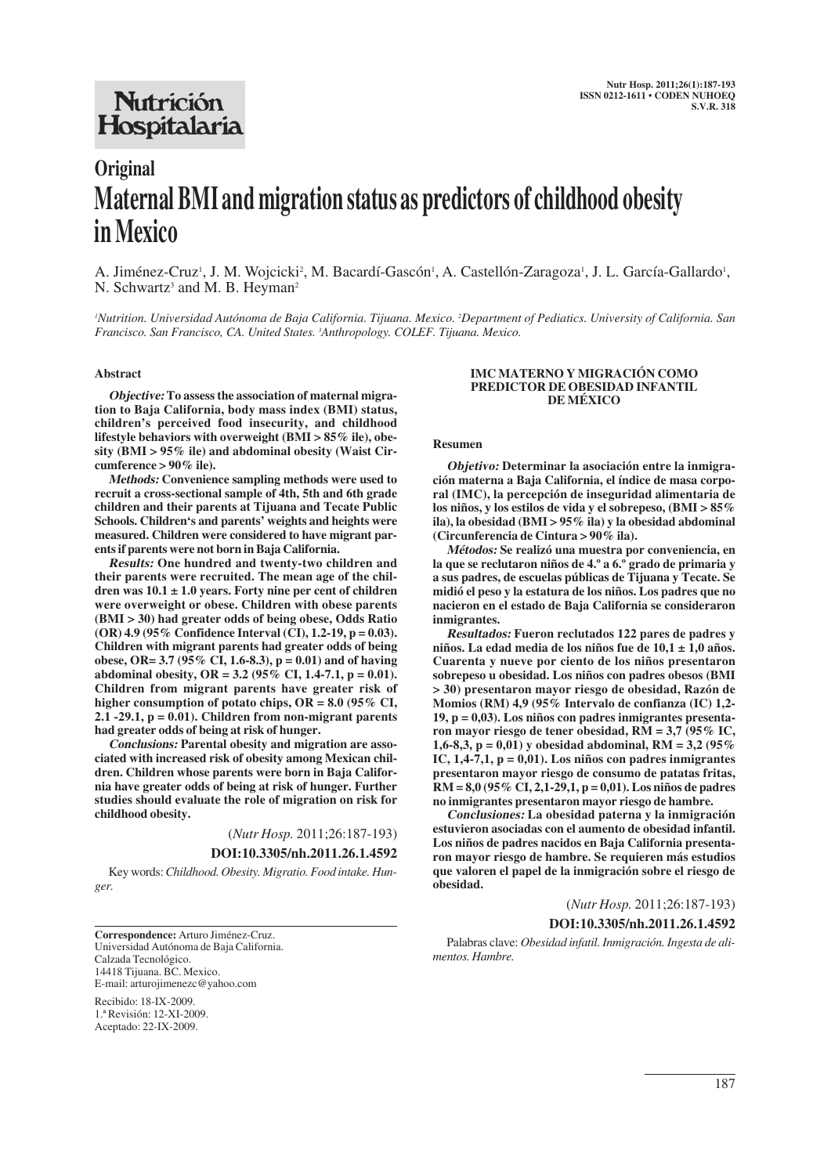## **Nutrición** Hospitalaria

# **Original Maternal BMI and migration status as predictors of childhood obesity in Mexico**

A. Jiménez-Cruz<sup>1</sup>, J. M. Wojcicki<sup>2</sup>, M. Bacardí-Gascón<sup>1</sup>, A. Castellón-Zaragoza<sup>1</sup>, J. L. García-Gallardo<sup>1</sup>, N. Schwartz<sup>3</sup> and M. B. Heyman<sup>2</sup>

'Nutrition. Universidad Autónoma de Baja California. Tijuana. Mexico. <sup>2</sup>Department of Pediatics. University of California. San *Francisco. San Francisco, CA. United States. 3 Anthropology. COLEF. Tijuana. Mexico.*

#### **Abstract**

**Objective: To assess the association of maternal migration to Baja California, body mass index (BMI) status, children's perceived food insecurity, and childhood lifestyle behaviors with overweight (BMI > 85% ile), obesity (BMI > 95% ile) and abdominal obesity (Waist Circumference > 90% ile).** 

**Methods: Convenience sampling methods were used to recruit a cross-sectional sample of 4th, 5th and 6th grade children and their parents at Tijuana and Tecate Public Schools. Children's and parents' weights and heights were measured. Children were considered to have migrant parents if parents were not born in Baja California.** 

**Results: One hundred and twenty-two children and their parents were recruited. The mean age of the children was 10.1 ± 1.0 years. Forty nine per cent of children were overweight or obese. Children with obese parents (BMI > 30) had greater odds of being obese, Odds Ratio (OR) 4.9 (95% Confidence Interval (CI), 1.2-19, p = 0.03). Children with migrant parents had greater odds of being obese, OR= 3.7 (95% CI, 1.6-8.3), p = 0.01) and of having abdominal obesity, OR = 3.2 (95% CI, 1.4-7.1, p = 0.01). Children from migrant parents have greater risk of higher consumption of potato chips, OR = 8.0 (95% CI, 2.1 -29.1, p = 0.01). Children from non-migrant parents had greater odds of being at risk of hunger.** 

**Conclusions: Parental obesity and migration are associated with increased risk of obesity among Mexican children. Children whose parents were born in Baja California have greater odds of being at risk of hunger. Further studies should evaluate the role of migration on risk for childhood obesity.**

(*Nutr Hosp.* 2011;26:187-193)

**DOI:10.3305/nh.2011.26.1.4592**

Key words: *Childhood. Obesity. Migratio. Food intake. Hunger.*

**Correspondence:** Arturo Jiménez-Cruz. Universidad Autónoma de Baja California. Calzada Tecnológico. 14418 Tijuana. BC. Mexico. E-mail: arturojimenezc@yahoo.com

Recibido: 18-IX-2009. 1.ª Revisión: 12-XI-2009. Aceptado: 22-IX-2009.

#### **IMC MATERNO Y MIGRACIÓN COMO PREDICTOR DE OBESIDAD INFANTIL DE MÉXICO**

#### **Resumen**

**Objetivo: Determinar la asociación entre la inmigración materna a Baja California, el índice de masa corporal (IMC), la percepción de inseguridad alimentaria de los niños, y los estilos de vida y el sobrepeso, (BMI > 85% ila), la obesidad (BMI > 95% ila) y la obesidad abdominal (Circunferencia de Cintura > 90% ila).** 

**Métodos: Se realizó una muestra por conveniencia, en la que se reclutaron niños de 4.º a 6.º grado de primaria y a sus padres, de escuelas públicas de Tijuana y Tecate. Se midió el peso y la estatura de los niños. Los padres que no nacieron en el estado de Baja California se consideraron inmigrantes.** 

**Resultados: Fueron reclutados 122 pares de padres y niños. La edad media de los niños fue de 10,1 ± 1,0 años. Cuarenta y nueve por ciento de los niños presentaron sobrepeso u obesidad. Los niños con padres obesos (BMI > 30) presentaron mayor riesgo de obesidad, Razón de Momios (RM) 4,9 (95% Intervalo de confianza (IC) 1,2- 19, p = 0,03). Los niños con padres inmigrantes presentaron mayor riesgo de tener obesidad, RM = 3,7 (95% IC, 1,6-8,3, p = 0,01) y obesidad abdominal, RM = 3,2 (95% IC, 1,4-7,1, p = 0,01). Los niños con padres inmigrantes presentaron mayor riesgo de consumo de patatas fritas, RM = 8,0 (95% CI, 2,1-29,1, p = 0,01). Los niños de padres no inmigrantes presentaron mayor riesgo de hambre.** 

**Conclusiones: La obesidad paterna y la inmigración estuvieron asociadas con el aumento de obesidad infantil. Los niños de padres nacidos en Baja California presentaron mayor riesgo de hambre. Se requieren más estudios que valoren el papel de la inmigración sobre el riesgo de obesidad.** 

(*Nutr Hosp.* 2011;26:187-193)

**DOI:10.3305/nh.2011.26.1.4592**

Palabras clave: *Obesidad infatil. Inmigración. Ingesta de alimentos. Hambre.*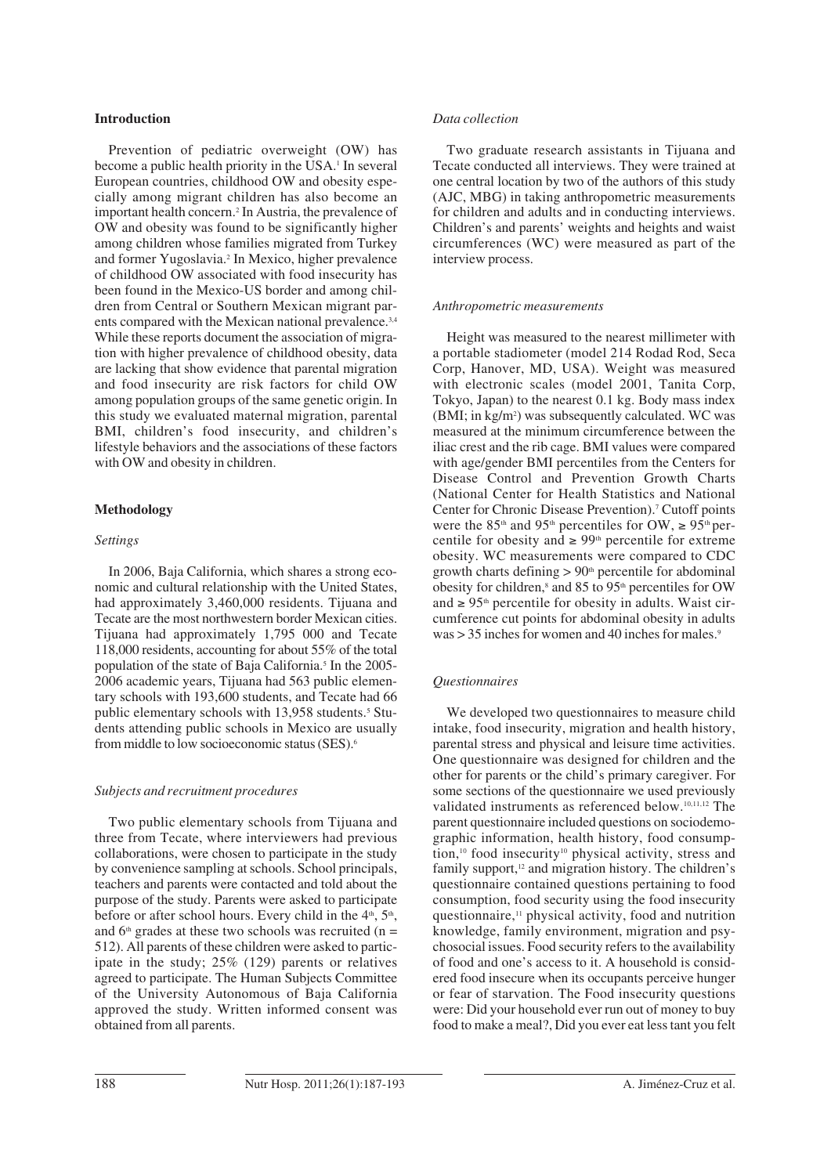## **Introduction**

Prevention of pediatric overweight (OW) has become a public health priority in the USA.<sup>1</sup> In several European countries, childhood OW and obesity especially among migrant children has also become an important health concern.2 In Austria, the prevalence of OW and obesity was found to be significantly higher among children whose families migrated from Turkey and former Yugoslavia.2 In Mexico, higher prevalence of childhood OW associated with food insecurity has been found in the Mexico-US border and among children from Central or Southern Mexican migrant parents compared with the Mexican national prevalence.<sup>3,4</sup> While these reports document the association of migration with higher prevalence of childhood obesity, data are lacking that show evidence that parental migration and food insecurity are risk factors for child OW among population groups of the same genetic origin. In this study we evaluated maternal migration, parental BMI, children's food insecurity, and children's lifestyle behaviors and the associations of these factors with OW and obesity in children.

#### **Methodology**

#### *Settings*

In 2006, Baja California, which shares a strong economic and cultural relationship with the United States, had approximately 3,460,000 residents. Tijuana and Tecate are the most northwestern border Mexican cities. Tijuana had approximately 1,795 000 and Tecate 118,000 residents, accounting for about 55% of the total population of the state of Baja California.<sup>5</sup> In the 2005-2006 academic years, Tijuana had 563 public elementary schools with 193,600 students, and Tecate had 66 public elementary schools with 13,958 students.<sup>5</sup> Students attending public schools in Mexico are usually from middle to low socioeconomic status (SES).6

#### *Subjects and recruitment procedures*

Two public elementary schools from Tijuana and three from Tecate, where interviewers had previous collaborations, were chosen to participate in the study by convenience sampling at schools. School principals, teachers and parents were contacted and told about the purpose of the study. Parents were asked to participate before or after school hours. Every child in the  $4<sup>th</sup>$ ,  $5<sup>th</sup>$ , and  $6<sup>th</sup>$  grades at these two schools was recruited (n = 512). All parents of these children were asked to participate in the study; 25% (129) parents or relatives agreed to participate. The Human Subjects Committee of the University Autonomous of Baja California approved the study. Written informed consent was obtained from all parents.

#### *Data collection*

Two graduate research assistants in Tijuana and Tecate conducted all interviews. They were trained at one central location by two of the authors of this study (AJC, MBG) in taking anthropometric measurements for children and adults and in conducting interviews. Children's and parents' weights and heights and waist circumferences (WC) were measured as part of the interview process.

#### *Anthropometric measurements*

Height was measured to the nearest millimeter with a portable stadiometer (model 214 Rodad Rod, Seca Corp, Hanover, MD, USA). Weight was measured with electronic scales (model 2001, Tanita Corp, Tokyo, Japan) to the nearest 0.1 kg. Body mass index (BMI; in kg/m<sup>2</sup>) was subsequently calculated. WC was measured at the minimum circumference between the iliac crest and the rib cage. BMI values were compared with age/gender BMI percentiles from the Centers for Disease Control and Prevention Growth Charts (National Center for Health Statistics and National Center for Chronic Disease Prevention).<sup>7</sup> Cutoff points were the 85<sup>th</sup> and 95<sup>th</sup> percentiles for OW,  $\geq$  95<sup>th</sup> percentile for obesity and  $\geq 99^{\text{th}}$  percentile for extreme obesity. WC measurements were compared to CDC growth charts defining  $> 90<sup>th</sup>$  percentile for abdominal obesity for children,<sup>8</sup> and 85 to 95<sup>th</sup> percentiles for OW and  $\geq 95$ <sup>th</sup> percentile for obesity in adults. Waist circumference cut points for abdominal obesity in adults  $was > 35$  inches for women and 40 inches for males.<sup>9</sup>

#### *Questionnaires*

We developed two questionnaires to measure child intake, food insecurity, migration and health history, parental stress and physical and leisure time activities. One questionnaire was designed for children and the other for parents or the child's primary caregiver. For some sections of the questionnaire we used previously validated instruments as referenced below.10,11,12 The parent questionnaire included questions on sociodemographic information, health history, food consumption,<sup>10</sup> food insecurity<sup>10</sup> physical activity, stress and family support,<sup>12</sup> and migration history. The children's questionnaire contained questions pertaining to food consumption, food security using the food insecurity questionnaire,11 physical activity, food and nutrition knowledge, family environment, migration and psychosocial issues. Food security refers to the availability of food and one's access to it. A household is considered food insecure when its occupants perceive hunger or fear of starvation. The Food insecurity questions were: Did your household ever run out of money to buy food to make a meal?, Did you ever eat less tant you felt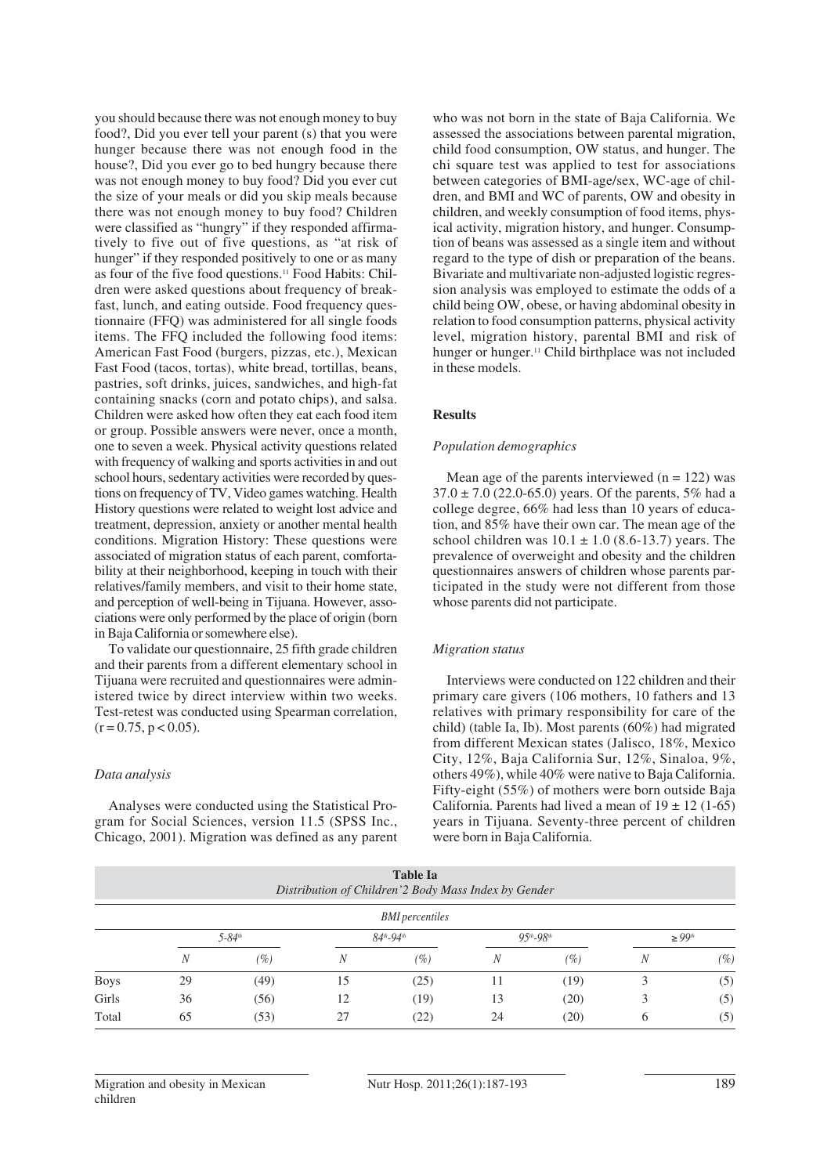you should because there was not enough money to buy food?, Did you ever tell your parent (s) that you were hunger because there was not enough food in the house?, Did you ever go to bed hungry because there was not enough money to buy food? Did you ever cut the size of your meals or did you skip meals because there was not enough money to buy food? Children were classified as "hungry" if they responded affirmatively to five out of five questions, as "at risk of hunger" if they responded positively to one or as many as four of the five food questions.11 Food Habits: Children were asked questions about frequency of breakfast, lunch, and eating outside. Food frequency questionnaire (FFQ) was administered for all single foods items. The FFQ included the following food items: American Fast Food (burgers, pizzas, etc.), Mexican Fast Food (tacos, tortas), white bread, tortillas, beans, pastries, soft drinks, juices, sandwiches, and high-fat containing snacks (corn and potato chips), and salsa. Children were asked how often they eat each food item or group. Possible answers were never, once a month, one to seven a week. Physical activity questions related with frequency of walking and sports activities in and out school hours, sedentary activities were recorded by questions on frequency of TV, Video games watching. Health History questions were related to weight lost advice and treatment, depression, anxiety or another mental health conditions. Migration History: These questions were associated of migration status of each parent, comfortability at their neighborhood, keeping in touch with their relatives/family members, and visit to their home state, and perception of well-being in Tijuana. However, associations were only performed by the place of origin (born in Baja California or somewhere else).

To validate our questionnaire, 25 fifth grade children and their parents from a different elementary school in Tijuana were recruited and questionnaires were administered twice by direct interview within two weeks. Test-retest was conducted using Spearman correlation,  $(r = 0.75, p < 0.05)$ .

#### *Data analysis*

Analyses were conducted using the Statistical Program for Social Sciences, version 11.5 (SPSS Inc., Chicago, 2001). Migration was defined as any parent who was not born in the state of Baja California. We assessed the associations between parental migration, child food consumption, OW status, and hunger. The chi square test was applied to test for associations between categories of BMI-age/sex, WC-age of children, and BMI and WC of parents, OW and obesity in children, and weekly consumption of food items, physical activity, migration history, and hunger. Consumption of beans was assessed as a single item and without regard to the type of dish or preparation of the beans. Bivariate and multivariate non-adjusted logistic regression analysis was employed to estimate the odds of a child being OW, obese, or having abdominal obesity in relation to food consumption patterns, physical activity level, migration history, parental BMI and risk of hunger or hunger.<sup>11</sup> Child birthplace was not included in these models.

#### **Results**

#### *Population demographics*

Mean age of the parents interviewed  $(n = 122)$  was  $37.0 \pm 7.0$  (22.0-65.0) years. Of the parents, 5% had a college degree, 66% had less than 10 years of education, and 85% have their own car. The mean age of the school children was  $10.1 \pm 1.0$  (8.6-13.7) years. The prevalence of overweight and obesity and the children questionnaires answers of children whose parents participated in the study were not different from those whose parents did not participate.

#### *Migration status*

Interviews were conducted on 122 children and their primary care givers (106 mothers, 10 fathers and 13 relatives with primary responsibility for care of the child) (table Ia, Ib). Most parents (60%) had migrated from different Mexican states (Jalisco, 18%, Mexico City, 12%, Baja California Sur, 12%, Sinaloa, 9%, others 49%), while 40% were native to Baja California. Fifty-eight (55%) of mothers were born outside Baja California. Parents had lived a mean of  $19 \pm 12$  (1-65) years in Tijuana. Seventy-three percent of children were born in Baja California.

|             |             |          |                     | <b>Table Ia</b><br>Distribution of Children'2 Body Mass Index by Gender |               |        |                         |       |
|-------------|-------------|----------|---------------------|-------------------------------------------------------------------------|---------------|--------|-------------------------|-------|
|             |             |          |                     | <b>BMI</b> percentiles                                                  |               |        |                         |       |
|             | $5 - 84$ th |          | $84^{th} - 94^{th}$ |                                                                         | $95th - 98th$ |        | $\geq 99$ <sup>th</sup> |       |
|             | N           | $( \% )$ | N                   | $(\%)$                                                                  | N             | $(\%)$ | N                       | $(\%$ |
| <b>Boys</b> | 29          | (49)     | 15                  | (25)                                                                    | 11            | (19)   | 3                       | (5)   |
| Girls       | 36          | (56)     | 12                  | (19)                                                                    | 13            | (20)   | 3                       | (5)   |
| Total       | 65          | (53)     | 27                  | (22)                                                                    | 24            | (20)   | 6                       | (5)   |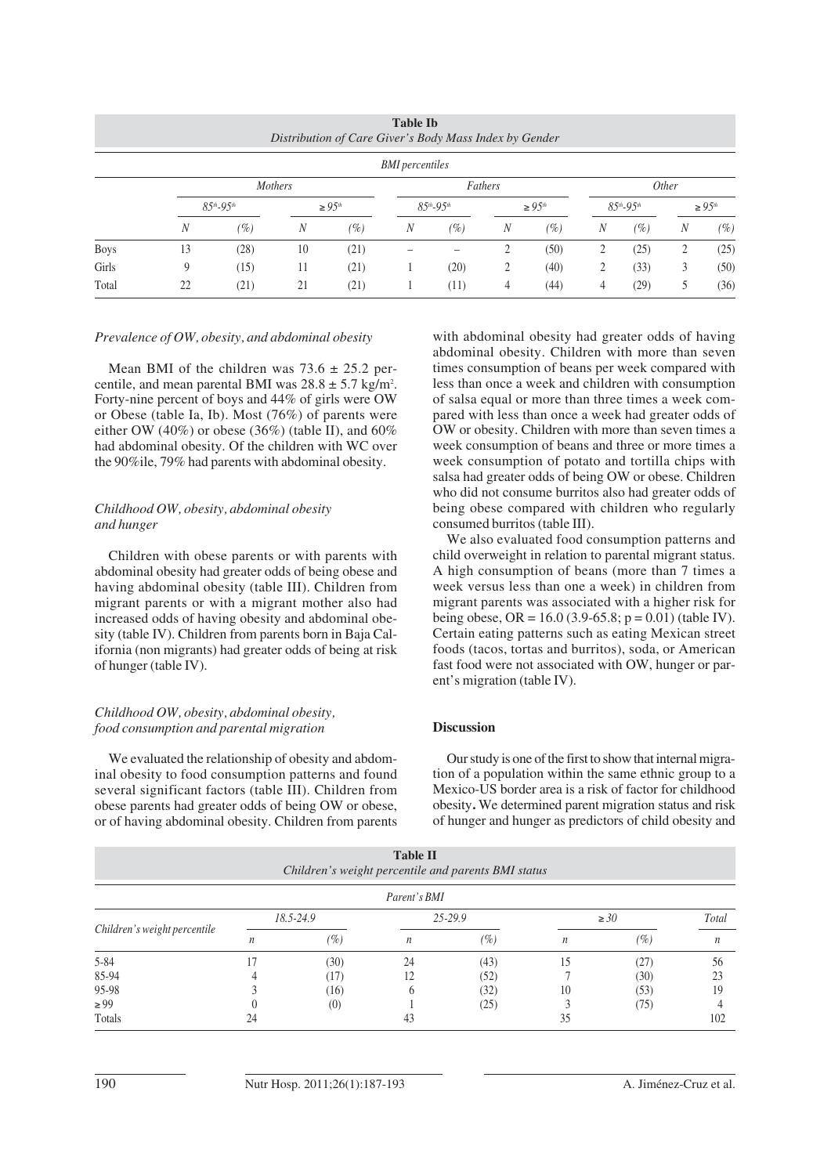| <b>Table Ib</b><br>Distribution of Care Giver's Body Mass Index by Gender |                |                     |    |               |                        |                     |                  |              |   |                     |   |                |  |
|---------------------------------------------------------------------------|----------------|---------------------|----|---------------|------------------------|---------------------|------------------|--------------|---|---------------------|---|----------------|--|
|                                                                           |                |                     |    |               | <b>BMI</b> percentiles |                     |                  |              |   |                     |   |                |  |
|                                                                           | <b>Mothers</b> |                     |    |               |                        | Fathers             |                  |              |   | <i>Other</i>        |   |                |  |
|                                                                           |                | $85^{th} - 95^{th}$ |    | $\geq 9.5$ th |                        | $85^{th} - 95^{th}$ |                  | $\geq 95$ th |   | $85^{th} - 95^{th}$ |   | $\geq 95^{th}$ |  |
|                                                                           | N              | (%)                 | N  | (%)           | N                      | $(\%)$              | $\boldsymbol{N}$ | (%)          | N | $(\%)$              | N | $(\%)$         |  |
| <b>Boys</b>                                                               | 13             | (28)                | 10 | (21)          |                        |                     |                  | (50)         | 2 | (25)                | 2 | (25)           |  |
| Girls                                                                     | 9              | (15)                | 11 | (21)          |                        | (20)                |                  | (40)         | 2 | (33)                | 3 | (50)           |  |
| Total                                                                     | 22             | (21)                | 21 | (21)          |                        | (11)                | 4                | (44)         | 4 | (29)                | 5 | (36)           |  |

### *Prevalence of OW, obesity, and abdominal obesity*

Mean BMI of the children was  $73.6 \pm 25.2$  percentile, and mean parental BMI was  $28.8 \pm 5.7$  kg/m<sup>2</sup>. Forty-nine percent of boys and 44% of girls were OW or Obese (table Ia, Ib). Most (76%) of parents were either OW (40%) or obese (36%) (table II), and  $60\%$ had abdominal obesity. Of the children with WC over the 90%ile, 79% had parents with abdominal obesity.

## *Childhood OW, obesity, abdominal obesity and hunger*

Children with obese parents or with parents with abdominal obesity had greater odds of being obese and having abdominal obesity (table III). Children from migrant parents or with a migrant mother also had increased odds of having obesity and abdominal obesity (table IV). Children from parents born in Baja California (non migrants) had greater odds of being at risk of hunger (table IV).

### *Childhood OW, obesity, abdominal obesity, food consumption and parental migration*

We evaluated the relationship of obesity and abdominal obesity to food consumption patterns and found several significant factors (table III). Children from obese parents had greater odds of being OW or obese, or of having abdominal obesity. Children from parents with abdominal obesity had greater odds of having abdominal obesity. Children with more than seven times consumption of beans per week compared with less than once a week and children with consumption of salsa equal or more than three times a week compared with less than once a week had greater odds of OW or obesity. Children with more than seven times a week consumption of beans and three or more times a week consumption of potato and tortilla chips with salsa had greater odds of being OW or obese. Children who did not consume burritos also had greater odds of being obese compared with children who regularly consumed burritos (table III).

We also evaluated food consumption patterns and child overweight in relation to parental migrant status. A high consumption of beans (more than 7 times a week versus less than one a week) in children from migrant parents was associated with a higher risk for being obese, OR =  $16.0$  (3.9-65.8; p = 0.01) (table IV). Certain eating patterns such as eating Mexican street foods (tacos, tortas and burritos), soda, or American fast food were not associated with OW, hunger or parent's migration (table IV).

## **Discussion**

Our study is one of the first to show that internal migration of a population within the same ethnic group to a Mexico-US border area is a risk of factor for childhood obesity**.** We determined parent migration status and risk of hunger and hunger as predictors of child obesity and

| <b>Table II</b><br>Children's weight percentile and parents BMI status |    |           |                  |        |           |      |                  |  |
|------------------------------------------------------------------------|----|-----------|------------------|--------|-----------|------|------------------|--|
|                                                                        |    |           | Parent's BMI     |        |           |      |                  |  |
|                                                                        |    | 18.5-24.9 | 25-29.9          |        | $\geq 30$ |      | Total            |  |
| Children's weight percentile                                           | n  | (%)       | $\boldsymbol{n}$ | $(\%)$ | n         | (%)  | $\boldsymbol{n}$ |  |
| $5 - 84$                                                               | 17 | (30)      | 24               | (43)   |           | (27) | 56               |  |
| 85-94                                                                  |    | (17)      | 12               | (52)   |           | (30) | 23               |  |
| 95-98                                                                  |    | (16)      |                  | (32)   | 10        | (53) | 19               |  |
| $\geq 99$                                                              |    | (0)       |                  | (25)   |           | (75) |                  |  |
| Totals                                                                 | 24 |           | 43               |        | 35        |      | 102              |  |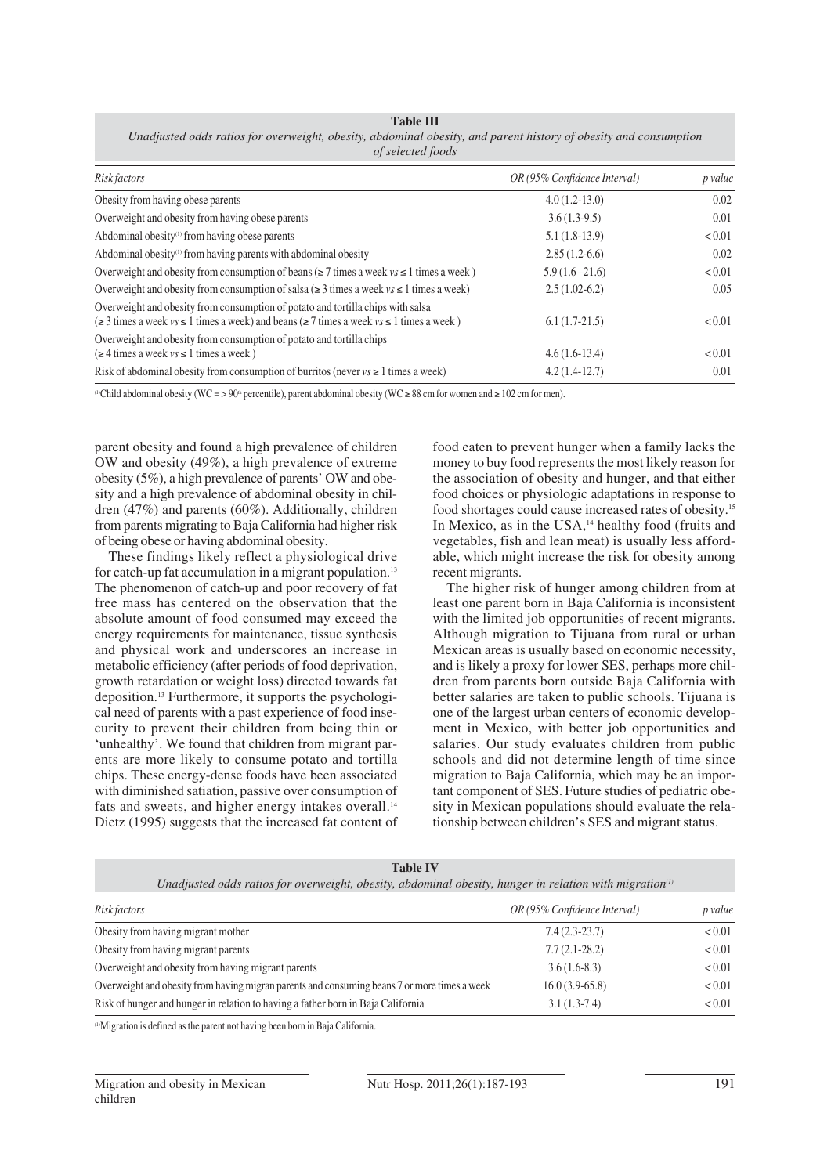| <b>Table III</b>                                                                                                 |
|------------------------------------------------------------------------------------------------------------------|
| Unadjusted odds ratios for overweight, obesity, abdominal obesity, and parent history of obesity and consumption |
| of selected foods                                                                                                |

| Risk factors                                                                                                                                                                                    | OR (95% Confidence Interval) | p value |
|-------------------------------------------------------------------------------------------------------------------------------------------------------------------------------------------------|------------------------------|---------|
| Obesity from having obese parents                                                                                                                                                               | $4.0(1.2-13.0)$              | 0.02    |
| Overweight and obesity from having obese parents                                                                                                                                                | $3.6(1.3-9.5)$               | 0.01    |
| Abdominal obesity <sup>(1)</sup> from having obese parents                                                                                                                                      | $5.1(1.8-13.9)$              | < 0.01  |
| Abdominal obesity <sup>(1)</sup> from having parents with abdominal obesity                                                                                                                     | $2.85(1.2-6.6)$              | 0.02    |
| Overweight and obesity from consumption of beans ( $\geq 7$ times a week $vs \leq 1$ times a week)                                                                                              | $5.9(1.6 - 21.6)$            | < 0.01  |
| Overweight and obesity from consumption of salsa ( $\geq 3$ times a week $vs \leq 1$ times a week)                                                                                              | $2.5(1.02-6.2)$              | 0.05    |
| Overweight and obesity from consumption of potato and tortilla chips with salsa<br>$(\geq 3$ times a week $vs \leq 1$ times a week) and beans ( $\geq 7$ times a week $vs \leq 1$ times a week) | $6.1(1.7-21.5)$              | < 0.01  |
| Overweight and obesity from consumption of potato and tortilla chips<br>$(\geq 4$ times a week $vs \leq 1$ times a week)                                                                        | $4.6(1.6-13.4)$              | < 0.01  |
| Risk of abdominal obesity from consumption of burritos (never $vs \ge 1$ times a week)                                                                                                          | $4.2(1.4-12.7)$              | 0.01    |

( $0$ Child abdominal obesity (WC = > 90<sup>th</sup> percentile), parent abdominal obesity (WC  $\geq 88$  cm for women and  $\geq 102$  cm for men).

parent obesity and found a high prevalence of children OW and obesity (49%), a high prevalence of extreme obesity (5%), a high prevalence of parents' OW and obesity and a high prevalence of abdominal obesity in children (47%) and parents (60%). Additionally, children from parents migrating to Baja California had higher risk of being obese or having abdominal obesity.

These findings likely reflect a physiological drive for catch-up fat accumulation in a migrant population.13 The phenomenon of catch-up and poor recovery of fat free mass has centered on the observation that the absolute amount of food consumed may exceed the energy requirements for maintenance, tissue synthesis and physical work and underscores an increase in metabolic efficiency (after periods of food deprivation, growth retardation or weight loss) directed towards fat deposition.13 Furthermore, it supports the psychological need of parents with a past experience of food insecurity to prevent their children from being thin or 'unhealthy'. We found that children from migrant parents are more likely to consume potato and tortilla chips. These energy-dense foods have been associated with diminished satiation, passive over consumption of fats and sweets, and higher energy intakes overall.<sup>14</sup> Dietz (1995) suggests that the increased fat content of food eaten to prevent hunger when a family lacks the money to buy food represents the most likely reason for the association of obesity and hunger, and that either food choices or physiologic adaptations in response to food shortages could cause increased rates of obesity.15 In Mexico, as in the USA,<sup>14</sup> healthy food (fruits and vegetables, fish and lean meat) is usually less affordable, which might increase the risk for obesity among recent migrants.

The higher risk of hunger among children from at least one parent born in Baja California is inconsistent with the limited job opportunities of recent migrants. Although migration to Tijuana from rural or urban Mexican areas is usually based on economic necessity, and is likely a proxy for lower SES, perhaps more children from parents born outside Baja California with better salaries are taken to public schools. Tijuana is one of the largest urban centers of economic development in Mexico, with better job opportunities and salaries. Our study evaluates children from public schools and did not determine length of time since migration to Baja California, which may be an important component of SES. Future studies of pediatric obesity in Mexican populations should evaluate the relationship between children's SES and migrant status.

| Unadjusted odds ratios for overweight, obesity, abdominal obesity, hunger in relation with migration $\theta$ |                              |         |  |  |  |  |  |
|---------------------------------------------------------------------------------------------------------------|------------------------------|---------|--|--|--|--|--|
| Risk factors                                                                                                  | OR (95% Confidence Interval) | p value |  |  |  |  |  |
| Obesity from having migrant mother                                                                            | $7.4(2.3-23.7)$              | < 0.01  |  |  |  |  |  |
| Obesity from having migrant parents                                                                           | $7.7(2.1-28.2)$              | < 0.01  |  |  |  |  |  |
| Overweight and obesity from having migrant parents                                                            | $3.6(1.6-8.3)$               | < 0.01  |  |  |  |  |  |
| Overweight and obesity from having migran parents and consuming beans 7 or more times a week                  | $16.0(3.9-65.8)$             | < 0.01  |  |  |  |  |  |
| Risk of hunger and hunger in relation to having a father born in Baja California                              | $3.1(1.3-7.4)$               | < 0.01  |  |  |  |  |  |

**Table IV**

(1)Migration is defined as the parent not having been born in Baja California.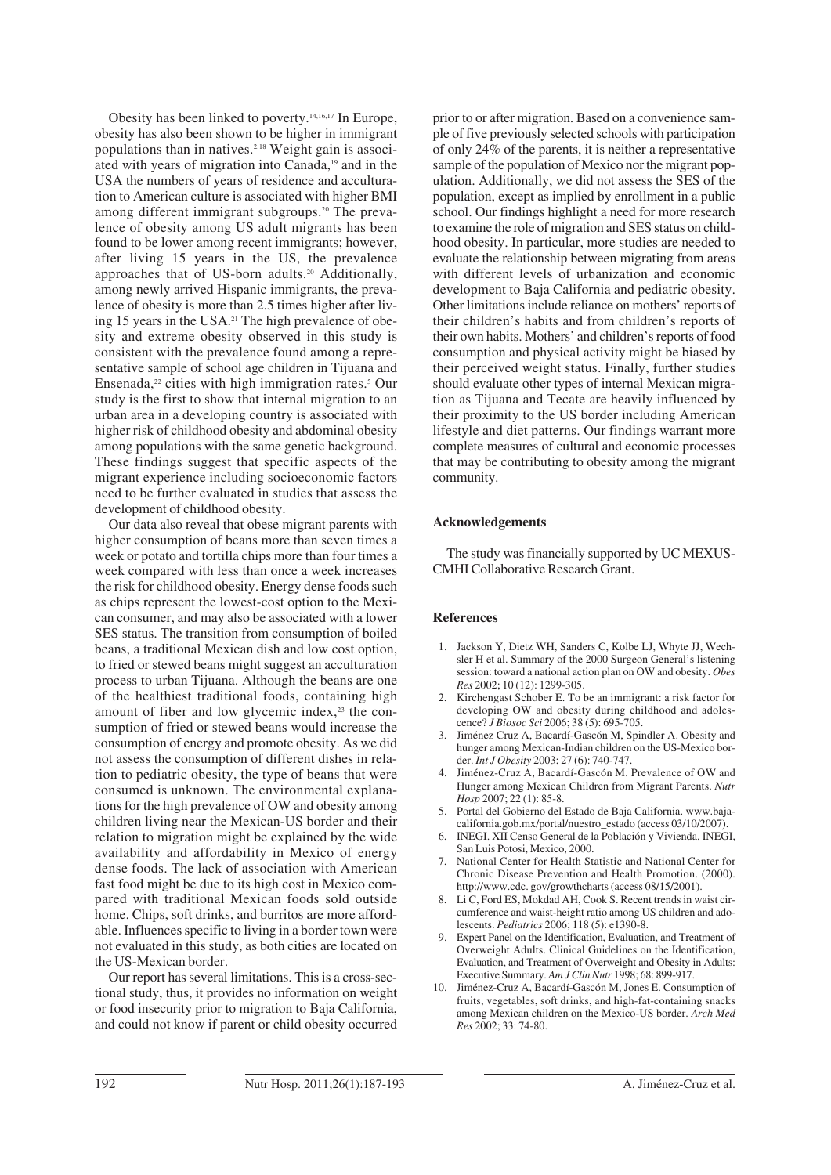Obesity has been linked to poverty.14,16,17 In Europe, obesity has also been shown to be higher in immigrant populations than in natives.2,18 Weight gain is associated with years of migration into Canada,19 and in the USA the numbers of years of residence and acculturation to American culture is associated with higher BMI among different immigrant subgroups.20 The prevalence of obesity among US adult migrants has been found to be lower among recent immigrants; however, after living 15 years in the US, the prevalence approaches that of US-born adults.<sup>20</sup> Additionally, among newly arrived Hispanic immigrants, the prevalence of obesity is more than 2.5 times higher after living 15 years in the USA.<sup>21</sup> The high prevalence of obesity and extreme obesity observed in this study is consistent with the prevalence found among a representative sample of school age children in Tijuana and Ensenada, $22$  cities with high immigration rates.<sup>5</sup> Our study is the first to show that internal migration to an urban area in a developing country is associated with higher risk of childhood obesity and abdominal obesity among populations with the same genetic background. These findings suggest that specific aspects of the migrant experience including socioeconomic factors need to be further evaluated in studies that assess the development of childhood obesity.

Our data also reveal that obese migrant parents with higher consumption of beans more than seven times a week or potato and tortilla chips more than four times a week compared with less than once a week increases the risk for childhood obesity. Energy dense foods such as chips represent the lowest-cost option to the Mexican consumer, and may also be associated with a lower SES status. The transition from consumption of boiled beans, a traditional Mexican dish and low cost option, to fried or stewed beans might suggest an acculturation process to urban Tijuana. Although the beans are one of the healthiest traditional foods, containing high amount of fiber and low glycemic index, $2<sup>3</sup>$  the consumption of fried or stewed beans would increase the consumption of energy and promote obesity. As we did not assess the consumption of different dishes in relation to pediatric obesity, the type of beans that were consumed is unknown. The environmental explanations for the high prevalence of OW and obesity among children living near the Mexican-US border and their relation to migration might be explained by the wide availability and affordability in Mexico of energy dense foods. The lack of association with American fast food might be due to its high cost in Mexico compared with traditional Mexican foods sold outside home. Chips, soft drinks, and burritos are more affordable. Influences specific to living in a border town were not evaluated in this study, as both cities are located on the US-Mexican border.

Our report has several limitations. This is a cross-sectional study, thus, it provides no information on weight or food insecurity prior to migration to Baja California, and could not know if parent or child obesity occurred prior to or after migration. Based on a convenience sample of five previously selected schools with participation of only 24% of the parents, it is neither a representative sample of the population of Mexico nor the migrant population. Additionally, we did not assess the SES of the population, except as implied by enrollment in a public school. Our findings highlight a need for more research to examine the role of migration and SES status on childhood obesity. In particular, more studies are needed to evaluate the relationship between migrating from areas with different levels of urbanization and economic development to Baja California and pediatric obesity. Other limitations include reliance on mothers' reports of their children's habits and from children's reports of their own habits. Mothers' and children's reports of food consumption and physical activity might be biased by their perceived weight status. Finally, further studies should evaluate other types of internal Mexican migration as Tijuana and Tecate are heavily influenced by their proximity to the US border including American lifestyle and diet patterns. Our findings warrant more complete measures of cultural and economic processes that may be contributing to obesity among the migrant community.

#### **Acknowledgements**

The study was financially supported by UC MEXUS-CMHI Collaborative Research Grant.

#### **References**

- 1. Jackson Y, Dietz WH, Sanders C, Kolbe LJ, Whyte JJ, Wechsler H et al. Summary of the 2000 Surgeon General's listening session: toward a national action plan on OW and obesity. *Obes Res* 2002; 10 (12): 1299-305.
- 2. Kirchengast Schober E. To be an immigrant: a risk factor for developing OW and obesity during childhood and adolescence? *J Biosoc Sci* 2006; 38 (5): 695-705.
- 3. Jiménez Cruz A, Bacardí-Gascón M, Spindler A. Obesity and hunger among Mexican-Indian children on the US-Mexico border. *Int J Obesity* 2003; 27 (6): 740-747.
- 4. Jiménez-Cruz A, Bacardí-Gascón M. Prevalence of OW and Hunger among Mexican Children from Migrant Parents. *Nutr Hosp* 2007; 22 (1): 85-8.
- 5. Portal del Gobierno del Estado de Baja California. www.bajacalifornia.gob.mx/portal/nuestro\_estado (access 03/10/2007).
- 6. INEGI. XII Censo General de la Población y Vivienda. INEGI, San Luis Potosi, Mexico, 2000.
- 7. National Center for Health Statistic and National Center for Chronic Disease Prevention and Health Promotion. (2000). http://www.cdc. gov/growthcharts (access 08/15/2001).
- 8. Li C, Ford ES, Mokdad AH, Cook S. Recent trends in waist circumference and waist-height ratio among US children and adolescents. *Pediatrics* 2006; 118 (5): e1390-8.
- 9. Expert Panel on the Identification, Evaluation, and Treatment of Overweight Adults. Clinical Guidelines on the Identification, Evaluation, and Treatment of Overweight and Obesity in Adults: Executive Summary. *Am J Clin Nutr* 1998; 68: 899-917.
- 10. Jiménez-Cruz A, Bacardí-Gascón M, Jones E. Consumption of fruits, vegetables, soft drinks, and high-fat-containing snacks among Mexican children on the Mexico-US border. *Arch Med Res* 2002; 33: 74-80.